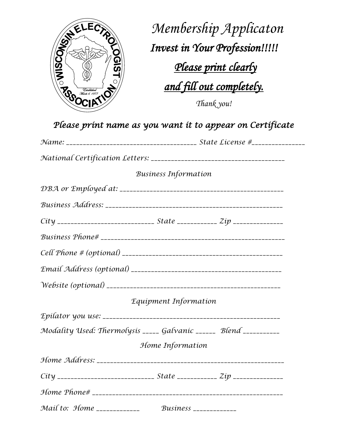

 *Membership Applicaton Membership Applicator*<br> *Invest in Your Profession!!!!!*<br>
<u>*Please print clearly*<br> *and fill out completels*</u>  *Please print clearly and fill out completely. Thank you!*

|                                                                            | <b>Business Information</b>    |  |
|----------------------------------------------------------------------------|--------------------------------|--|
|                                                                            |                                |  |
|                                                                            |                                |  |
| City _____________________________ State ____________ Zip ________________ |                                |  |
|                                                                            |                                |  |
|                                                                            |                                |  |
|                                                                            |                                |  |
|                                                                            |                                |  |
|                                                                            | Equipment Information          |  |
|                                                                            |                                |  |
| Modality Used: Thermolysis _____ Galvanic ______ Blend __________          |                                |  |
|                                                                            | Home Information               |  |
|                                                                            |                                |  |
|                                                                            |                                |  |
|                                                                            |                                |  |
| Mail to: Home _____________                                                | <i>Business</i> ______________ |  |